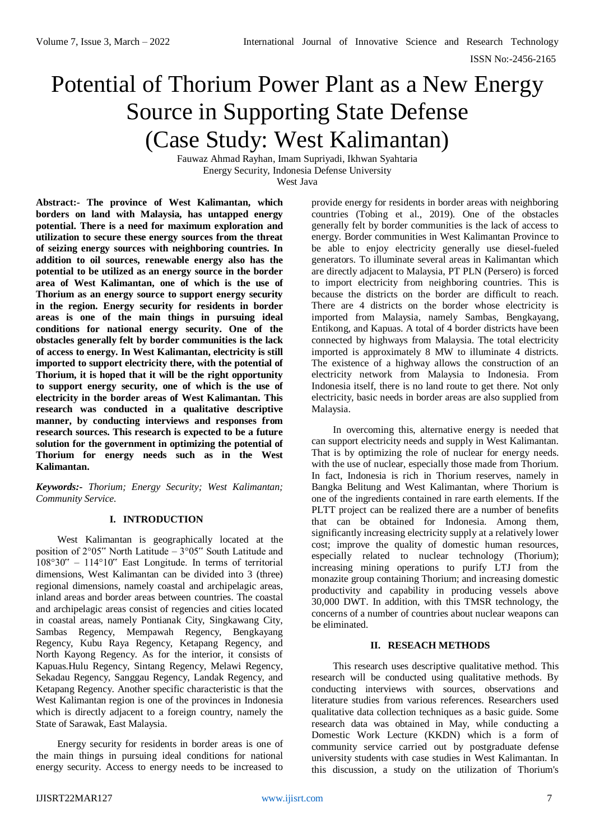# Potential of Thorium Power Plant as a New Energy Source in Supporting State Defense (Case Study: West Kalimantan)

Fauwaz Ahmad Rayhan, Imam Supriyadi, Ikhwan Syahtaria Energy Security, Indonesia Defense University West Java

**Abstract:- The province of West Kalimantan, which borders on land with Malaysia, has untapped energy potential. There is a need for maximum exploration and utilization to secure these energy sources from the threat of seizing energy sources with neighboring countries. In addition to oil sources, renewable energy also has the potential to be utilized as an energy source in the border area of West Kalimantan, one of which is the use of Thorium as an energy source to support energy security in the region. Energy security for residents in border areas is one of the main things in pursuing ideal conditions for national energy security. One of the obstacles generally felt by border communities is the lack of access to energy. In West Kalimantan, electricity is still imported to support electricity there, with the potential of Thorium, it is hoped that it will be the right opportunity to support energy security, one of which is the use of electricity in the border areas of West Kalimantan. This research was conducted in a qualitative descriptive manner, by conducting interviews and responses from research sources. This research is expected to be a future solution for the government in optimizing the potential of Thorium for energy needs such as in the West Kalimantan.**

*Keywords:- Thorium; Energy Security; West Kalimantan; Community Service.*

### **I. INTRODUCTION**

West Kalimantan is geographically located at the position of 2°05" North Latitude – 3°05" South Latitude and 108°30" – 114°10" East Longitude. In terms of territorial dimensions, West Kalimantan can be divided into 3 (three) regional dimensions, namely coastal and archipelagic areas, inland areas and border areas between countries. The coastal and archipelagic areas consist of regencies and cities located in coastal areas, namely Pontianak City, Singkawang City, Sambas Regency, Mempawah Regency, Bengkayang Regency, Kubu Raya Regency, Ketapang Regency, and North Kayong Regency. As for the interior, it consists of Kapuas.Hulu Regency, Sintang Regency, Melawi Regency, Sekadau Regency, Sanggau Regency, Landak Regency, and Ketapang Regency. Another specific characteristic is that the West Kalimantan region is one of the provinces in Indonesia which is directly adjacent to a foreign country, namely the State of Sarawak, East Malaysia.

Energy security for residents in border areas is one of the main things in pursuing ideal conditions for national energy security. Access to energy needs to be increased to provide energy for residents in border areas with neighboring countries (Tobing et al., 2019). One of the obstacles generally felt by border communities is the lack of access to energy. Border communities in West Kalimantan Province to be able to enjoy electricity generally use diesel-fueled generators. To illuminate several areas in Kalimantan which are directly adjacent to Malaysia, PT PLN (Persero) is forced to import electricity from neighboring countries. This is because the districts on the border are difficult to reach. There are 4 districts on the border whose electricity is imported from Malaysia, namely Sambas, Bengkayang, Entikong, and Kapuas. A total of 4 border districts have been connected by highways from Malaysia. The total electricity imported is approximately 8 MW to illuminate 4 districts. The existence of a highway allows the construction of an electricity network from Malaysia to Indonesia. From Indonesia itself, there is no land route to get there. Not only electricity, basic needs in border areas are also supplied from Malaysia.

In overcoming this, alternative energy is needed that can support electricity needs and supply in West Kalimantan. That is by optimizing the role of nuclear for energy needs. with the use of nuclear, especially those made from Thorium. In fact, Indonesia is rich in Thorium reserves, namely in Bangka Belitung and West Kalimantan, where Thorium is one of the ingredients contained in rare earth elements. If the PLTT project can be realized there are a number of benefits that can be obtained for Indonesia. Among them, significantly increasing electricity supply at a relatively lower cost; improve the quality of domestic human resources, especially related to nuclear technology (Thorium); increasing mining operations to purify LTJ from the monazite group containing Thorium; and increasing domestic productivity and capability in producing vessels above 30,000 DWT. In addition, with this TMSR technology, the concerns of a number of countries about nuclear weapons can be eliminated.

## **II. RESEACH METHODS**

This research uses descriptive qualitative method. This research will be conducted using qualitative methods. By conducting interviews with sources, observations and literature studies from various references. Researchers used qualitative data collection techniques as a basic guide. Some research data was obtained in May, while conducting a Domestic Work Lecture (KKDN) which is a form of community service carried out by postgraduate defense university students with case studies in West Kalimantan. In this discussion, a study on the utilization of Thorium's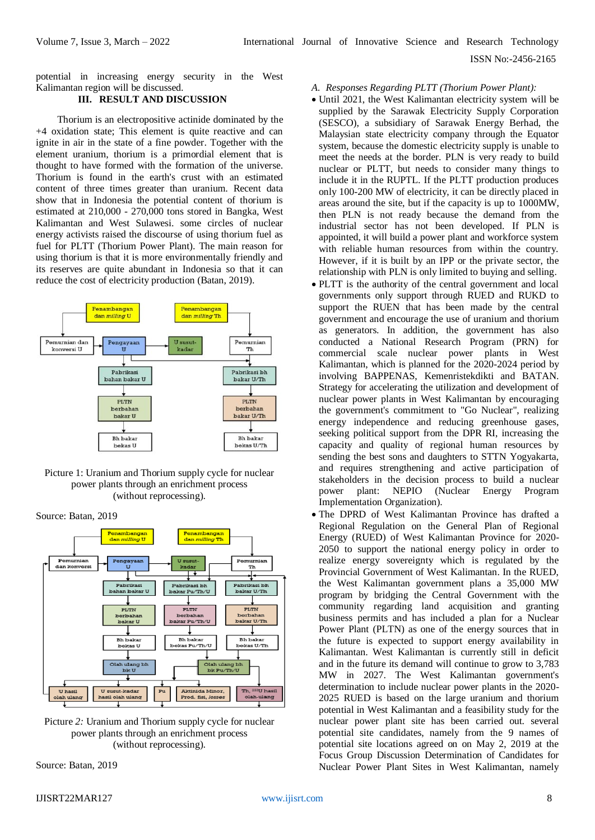potential in increasing energy security in the West Kalimantan region will be discussed.

## **III. RESULT AND DISCUSSION**

Thorium is an electropositive actinide dominated by the +4 oxidation state; This element is quite reactive and can ignite in air in the state of a fine powder. Together with the element uranium, thorium is a primordial element that is thought to have formed with the formation of the universe. Thorium is found in the earth's crust with an estimated content of three times greater than uranium. Recent data show that in Indonesia the potential content of thorium is estimated at 210,000 - 270,000 tons stored in Bangka, West Kalimantan and West Sulawesi. some circles of nuclear energy activists raised the discourse of using thorium fuel as fuel for PLTT (Thorium Power Plant). The main reason for using thorium is that it is more environmentally friendly and its reserves are quite abundant in Indonesia so that it can reduce the cost of electricity production (Batan, 2019).



Picture 1: Uranium and Thorium supply cycle for nuclear power plants through an enrichment process (without reprocessing).

Source: Batan, 2019



Picture *2:* Uranium and Thorium supply cycle for nuclear power plants through an enrichment process (without reprocessing).

Source: Batan, 2019

- Until 2021, the West Kalimantan electricity system will be supplied by the Sarawak Electricity Supply Corporation (SESCO), a subsidiary of Sarawak Energy Berhad, the Malaysian state electricity company through the Equator system, because the domestic electricity supply is unable to meet the needs at the border. PLN is very ready to build nuclear or PLTT, but needs to consider many things to include it in the RUPTL. If the PLTT production produces only 100-200 MW of electricity, it can be directly placed in areas around the site, but if the capacity is up to 1000MW, then PLN is not ready because the demand from the industrial sector has not been developed. If PLN is appointed, it will build a power plant and workforce system with reliable human resources from within the country. However, if it is built by an IPP or the private sector, the relationship with PLN is only limited to buying and selling.
- PLTT is the authority of the central government and local governments only support through RUED and RUKD to support the RUEN that has been made by the central government and encourage the use of uranium and thorium as generators. In addition, the government has also conducted a National Research Program (PRN) for commercial scale nuclear power plants in West Kalimantan, which is planned for the 2020-2024 period by involving BAPPENAS, Kemenristekdikti and BATAN. Strategy for accelerating the utilization and development of nuclear power plants in West Kalimantan by encouraging the government's commitment to "Go Nuclear", realizing energy independence and reducing greenhouse gases, seeking political support from the DPR RI, increasing the capacity and quality of regional human resources by sending the best sons and daughters to STTN Yogyakarta, and requires strengthening and active participation of stakeholders in the decision process to build a nuclear power plant: NEPIO (Nuclear Energy Program Implementation Organization).
- The DPRD of West Kalimantan Province has drafted a Regional Regulation on the General Plan of Regional Energy (RUED) of West Kalimantan Province for 2020- 2050 to support the national energy policy in order to realize energy sovereignty which is regulated by the Provincial Government of West Kalimantan. In the RUED, the West Kalimantan government plans a 35,000 MW program by bridging the Central Government with the community regarding land acquisition and granting business permits and has included a plan for a Nuclear Power Plant (PLTN) as one of the energy sources that in the future is expected to support energy availability in Kalimantan. West Kalimantan is currently still in deficit and in the future its demand will continue to grow to 3,783 MW in 2027. The West Kalimantan government's determination to include nuclear power plants in the 2020- 2025 RUED is based on the large uranium and thorium potential in West Kalimantan and a feasibility study for the nuclear power plant site has been carried out. several potential site candidates, namely from the 9 names of potential site locations agreed on on May 2, 2019 at the Focus Group Discussion Determination of Candidates for Nuclear Power Plant Sites in West Kalimantan, namely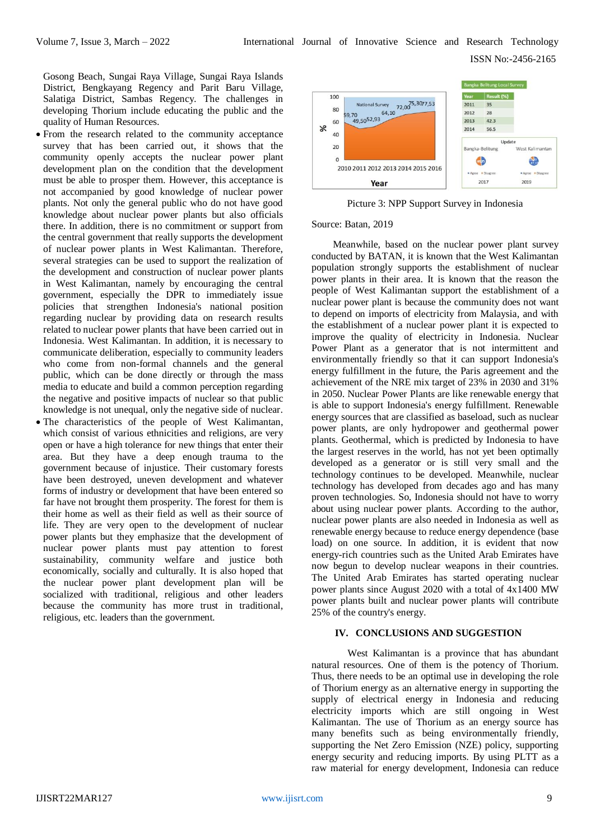Gosong Beach, Sungai Raya Village, Sungai Raya Islands District, Bengkayang Regency and Parit Baru Village, Salatiga District, Sambas Regency. The challenges in developing Thorium include educating the public and the quality of Human Resources.

- From the research related to the community acceptance survey that has been carried out, it shows that the community openly accepts the nuclear power plant development plan on the condition that the development must be able to prosper them. However, this acceptance is not accompanied by good knowledge of nuclear power plants. Not only the general public who do not have good knowledge about nuclear power plants but also officials there. In addition, there is no commitment or support from the central government that really supports the development of nuclear power plants in West Kalimantan. Therefore, several strategies can be used to support the realization of the development and construction of nuclear power plants in West Kalimantan, namely by encouraging the central government, especially the DPR to immediately issue policies that strengthen Indonesia's national position regarding nuclear by providing data on research results related to nuclear power plants that have been carried out in Indonesia. West Kalimantan. In addition, it is necessary to communicate deliberation, especially to community leaders who come from non-formal channels and the general public, which can be done directly or through the mass media to educate and build a common perception regarding the negative and positive impacts of nuclear so that public knowledge is not unequal, only the negative side of nuclear.
- The characteristics of the people of West Kalimantan, which consist of various ethnicities and religions, are very open or have a high tolerance for new things that enter their area. But they have a deep enough trauma to the government because of injustice. Their customary forests have been destroyed, uneven development and whatever forms of industry or development that have been entered so far have not brought them prosperity. The forest for them is their home as well as their field as well as their source of life. They are very open to the development of nuclear power plants but they emphasize that the development of nuclear power plants must pay attention to forest sustainability, community welfare and justice both economically, socially and culturally. It is also hoped that the nuclear power plant development plan will be socialized with traditional, religious and other leaders because the community has more trust in traditional, religious, etc. leaders than the government.



Picture 3: NPP Support Survey in Indonesia

#### Source: Batan, 2019

Meanwhile, based on the nuclear power plant survey conducted by BATAN, it is known that the West Kalimantan population strongly supports the establishment of nuclear power plants in their area. It is known that the reason the people of West Kalimantan support the establishment of a nuclear power plant is because the community does not want to depend on imports of electricity from Malaysia, and with the establishment of a nuclear power plant it is expected to improve the quality of electricity in Indonesia. Nuclear Power Plant as a generator that is not intermittent and environmentally friendly so that it can support Indonesia's energy fulfillment in the future, the Paris agreement and the achievement of the NRE mix target of 23% in 2030 and 31% in 2050. Nuclear Power Plants are like renewable energy that is able to support Indonesia's energy fulfillment. Renewable energy sources that are classified as baseload, such as nuclear power plants, are only hydropower and geothermal power plants. Geothermal, which is predicted by Indonesia to have the largest reserves in the world, has not yet been optimally developed as a generator or is still very small and the technology continues to be developed. Meanwhile, nuclear technology has developed from decades ago and has many proven technologies. So, Indonesia should not have to worry about using nuclear power plants. According to the author, nuclear power plants are also needed in Indonesia as well as renewable energy because to reduce energy dependence (base load) on one source. In addition, it is evident that now energy-rich countries such as the United Arab Emirates have now begun to develop nuclear weapons in their countries. The United Arab Emirates has started operating nuclear power plants since August 2020 with a total of 4x1400 MW power plants built and nuclear power plants will contribute 25% of the country's energy.

### **IV. CONCLUSIONS AND SUGGESTION**

West Kalimantan is a province that has abundant natural resources. One of them is the potency of Thorium. Thus, there needs to be an optimal use in developing the role of Thorium energy as an alternative energy in supporting the supply of electrical energy in Indonesia and reducing electricity imports which are still ongoing in West Kalimantan. The use of Thorium as an energy source has many benefits such as being environmentally friendly, supporting the Net Zero Emission (NZE) policy, supporting energy security and reducing imports. By using PLTT as a raw material for energy development, Indonesia can reduce